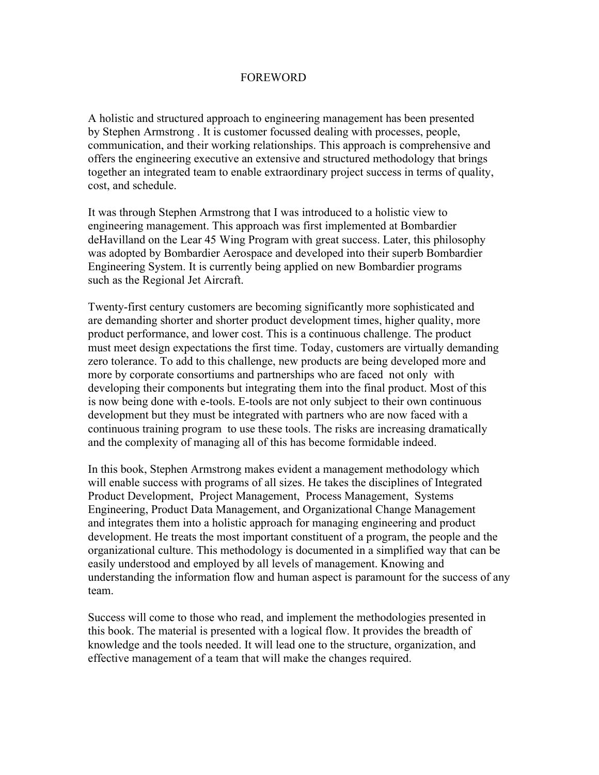## FOREWORD

A holistic and structured approach to engineering management has been presented by Stephen Armstrong . It is customer focussed dealing with processes, people, communication, and their working relationships. This approach is comprehensive and offers the engineering executive an extensive and structured methodology that brings together an integrated team to enable extraordinary project success in terms of quality, cost, and schedule.

It was through Stephen Armstrong that I was introduced to a holistic view to engineering management. This approach was first implemented at Bombardier deHavilland on the Lear 45 Wing Program with great success. Later, this philosophy was adopted by Bombardier Aerospace and developed into their superb Bombardier Engineering System. It is currently being applied on new Bombardier programs such as the Regional Jet Aircraft.

Twenty-first century customers are becoming significantly more sophisticated and are demanding shorter and shorter product development times, higher quality, more product performance, and lower cost. This is a continuous challenge. The product must meet design expectations the first time. Today, customers are virtually demanding zero tolerance. To add to this challenge, new products are being developed more and more by corporate consortiums and partnerships who are faced not only with developing their components but integrating them into the final product. Most of this is now being done with e-tools. E-tools are not only subject to their own continuous development but they must be integrated with partners who are now faced with a continuous training program to use these tools. The risks are increasing dramatically and the complexity of managing all of this has become formidable indeed.

In this book, Stephen Armstrong makes evident a management methodology which will enable success with programs of all sizes. He takes the disciplines of Integrated Product Development, Project Management, Process Management, Systems Engineering, Product Data Management, and Organizational Change Management and integrates them into a holistic approach for managing engineering and product development. He treats the most important constituent of a program, the people and the organizational culture. This methodology is documented in a simplified way that can be easily understood and employed by all levels of management. Knowing and understanding the information flow and human aspect is paramount for the success of any team.

Success will come to those who read, and implement the methodologies presented in this book. The material is presented with a logical flow. It provides the breadth of knowledge and the tools needed. It will lead one to the structure, organization, and effective management of a team that will make the changes required.